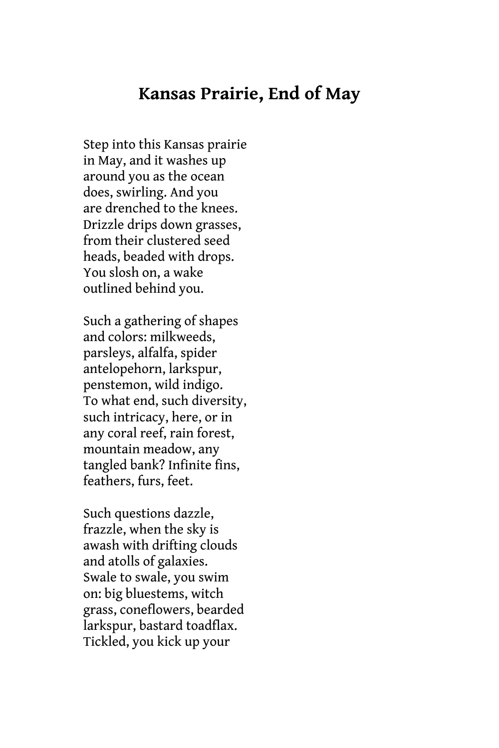## **Kansas Prairie, End of May**

Step into this Kansas prairie in May, and it washes up around you as the ocean does, swirling. And you are drenched to the knees. Drizzle drips down grasses, from their clustered seed heads, beaded with drops. You slosh on, a wake outlined behind you.

Such a gathering of shapes and colors: milkweeds, parsleys, alfalfa, spider antelopehorn, larkspur, penstemon, wild indigo. To what end, such diversity, such intricacy, here, or in any coral reef, rain forest, mountain meadow, any tangled bank? Infinite fins, feathers, furs, feet.

Such questions dazzle, frazzle, when the sky is awash with drifting clouds and atolls of galaxies. Swale to swale, you swim on: big bluestems, witch grass, coneflowers, bearded larkspur, bastard toadflax. Tickled, you kick up your